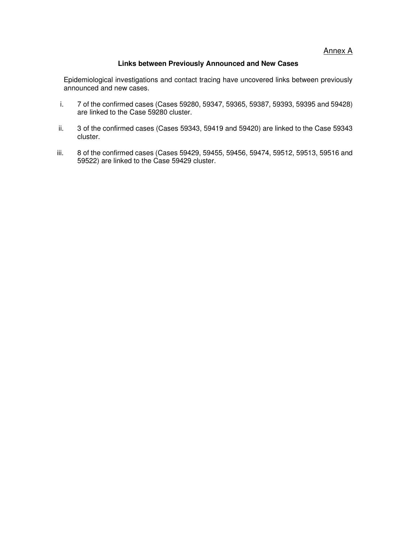Annex A

#### **Links between Previously Announced and New Cases**

Epidemiological investigations and contact tracing have uncovered links between previously announced and new cases.

- i. 7 of the confirmed cases (Cases 59280, 59347, 59365, 59387, 59393, 59395 and 59428) are linked to the Case 59280 cluster.
- ii. 3 of the confirmed cases (Cases 59343, 59419 and 59420) are linked to the Case 59343 cluster.
- iii. 8 of the confirmed cases (Cases 59429, 59455, 59456, 59474, 59512, 59513, 59516 and 59522) are linked to the Case 59429 cluster.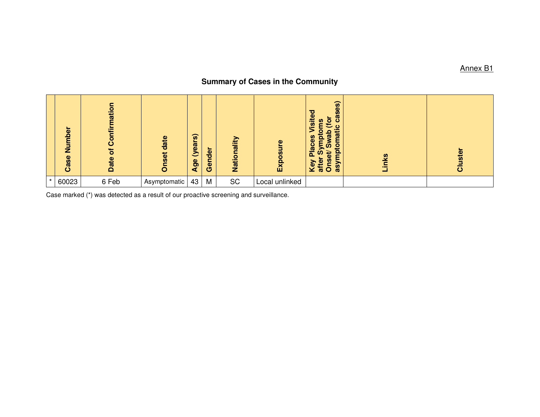# **Summary of Cases in the Community**

|         | ō<br>Numb<br>Case | nation<br>Confir<br>$\overline{\sigma}$<br>Date | date<br>Onset | $\widehat{\boldsymbol{\omega}}$<br>(year:<br>Age | -<br>Gender | nalii<br>$\circ$<br><b>Nati</b> | Φ<br><b>S</b><br>$\overline{8}$<br>$\mathbf{E}$ | cases)<br><b>Tsited</b><br>ō<br>ဠဳ<br>€<br>ပ<br>iati<br>o<br>$\boldsymbol{\omega}$<br><u>ō</u><br><b>Places</b><br>$\mathbf{S}$<br>3<br>ÚΩ<br>$\mathbf{a}$<br>₽<br>Φ<br>n<br>Key<br>ω<br>$\ddot{\mathbf{5}}$<br><b>GB</b><br>$\ddot{a}$ | nks | ster<br>ပ |
|---------|-------------------|-------------------------------------------------|---------------|--------------------------------------------------|-------------|---------------------------------|-------------------------------------------------|-----------------------------------------------------------------------------------------------------------------------------------------------------------------------------------------------------------------------------------------|-----|-----------|
| $\star$ | 60023             | 6 Feb                                           | Asymptomatic  | 43                                               | M           | SC                              | Local unlinked                                  |                                                                                                                                                                                                                                         |     |           |

Case marked (\*) was detected as a result of our proactive screening and surveillance.

Annex B1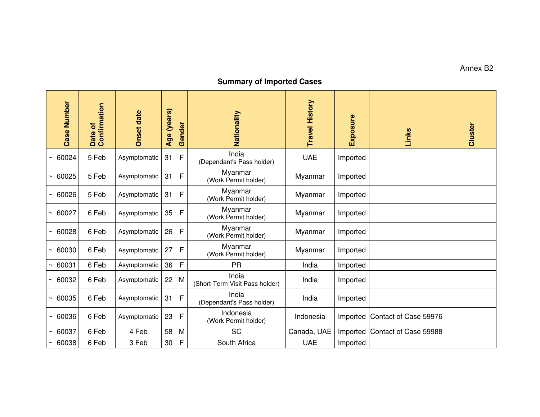## Annex B2

### **Summary of Imported Cases**

|             | Case Number | Confirmation<br>ð<br>Date | <b>Onset date</b> | Age (years) | Gender       | Nationality                             | <b>Travel History</b> | Exposure | Links                 | Cluster |
|-------------|-------------|---------------------------|-------------------|-------------|--------------|-----------------------------------------|-----------------------|----------|-----------------------|---------|
|             | 60024       | 5 Feb                     | Asymptomatic      | 31          | F            | India<br>(Dependant's Pass holder)      | <b>UAE</b>            | Imported |                       |         |
|             | 60025       | 5 Feb                     | Asymptomatic      | 31          | $\mathsf{F}$ | Myanmar<br>(Work Permit holder)         | Myanmar               | Imported |                       |         |
|             | 60026       | 5 Feb                     | Asymptomatic      | 31          | F            | Myanmar<br>(Work Permit holder)         | Myanmar               | Imported |                       |         |
| $\thicksim$ | 60027       | 6 Feb                     | Asymptomatic      | 35          | $\mathsf{F}$ | Myanmar<br>(Work Permit holder)         | Myanmar               | Imported |                       |         |
|             | 60028       | 6 Feb                     | Asymptomatic      | 26          | $\mathsf{F}$ | Myanmar<br>(Work Permit holder)         | Myanmar               | Imported |                       |         |
|             | 60030       | 6 Feb                     | Asymptomatic      | 27          | F            | Myanmar<br>(Work Permit holder)         | Myanmar               | Imported |                       |         |
| $\tilde{}$  | 60031       | 6 Feb                     | Asymptomatic      | 36          | F            | <b>PR</b>                               | India                 | Imported |                       |         |
|             | 60032       | 6 Feb                     | Asymptomatic      | 22          | M            | India<br>(Short-Term Visit Pass holder) | India                 | Imported |                       |         |
|             | 60035       | 6 Feb                     | Asymptomatic      | 31          | $\mathsf{F}$ | India<br>(Dependant's Pass holder)      | India                 | Imported |                       |         |
| $\tilde{}$  | 60036       | 6 Feb                     | Asymptomatic      | 23          | F            | Indonesia<br>(Work Permit holder)       | Indonesia             | Imported | Contact of Case 59976 |         |
|             | 60037       | 6 Feb                     | 4 Feb             | 58          | M            | <b>SC</b>                               | Canada, UAE           | Imported | Contact of Case 59988 |         |
|             | 60038       | 6 Feb                     | 3 Feb             | 30          | F            | South Africa                            | <b>UAE</b>            | Imported |                       |         |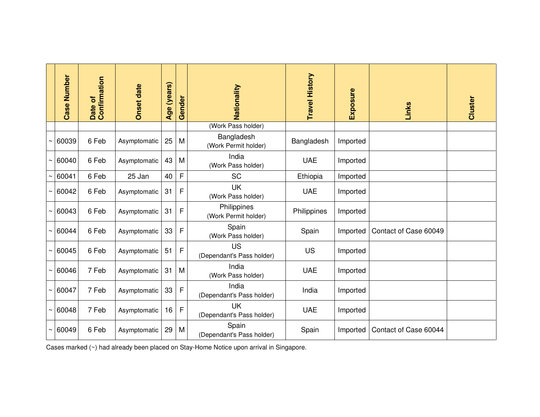|             | <b>Case Number</b> | Date of<br>Confirmation | <b>Onset date</b> | Age (years) | Gender       | Nationality                            | <b>Travel History</b> | Exposure | Links                 | Cluster |
|-------------|--------------------|-------------------------|-------------------|-------------|--------------|----------------------------------------|-----------------------|----------|-----------------------|---------|
|             |                    |                         |                   |             |              | (Work Pass holder)                     |                       |          |                       |         |
| $\thicksim$ | 60039              | 6 Feb                   | Asymptomatic      | 25          | M            | Bangladesh<br>(Work Permit holder)     | Bangladesh            | Imported |                       |         |
|             | 60040              | 6 Feb                   | Asymptomatic      | 43          | M            | India<br>(Work Pass holder)            | <b>UAE</b>            | Imported |                       |         |
|             | 60041              | 6 Feb                   | 25 Jan            | 40          | F            | <b>SC</b>                              | Ethiopia              | Imported |                       |         |
| ∼           | 60042              | 6 Feb                   | Asymptomatic      | 31          | F            | UK<br>(Work Pass holder)               | <b>UAE</b>            | Imported |                       |         |
|             | 60043              | 6 Feb                   | Asymptomatic      | 31          | $\mathsf{F}$ | Philippines<br>(Work Permit holder)    | Philippines           | Imported |                       |         |
|             | 60044              | 6 Feb                   | Asymptomatic      | 33          | $\mathsf{F}$ | Spain<br>(Work Pass holder)            | Spain                 | Imported | Contact of Case 60049 |         |
| $\thicksim$ | 60045              | 6 Feb                   | Asymptomatic      | 51          | F            | <b>US</b><br>(Dependant's Pass holder) | US                    | Imported |                       |         |
|             | 60046              | 7 Feb                   | Asymptomatic      | 31          | M            | India<br>(Work Pass holder)            | <b>UAE</b>            | Imported |                       |         |
|             | 60047              | 7 Feb                   | Asymptomatic      | 33          | $\mathsf{F}$ | India<br>(Dependant's Pass holder)     | India                 | Imported |                       |         |
|             | 60048              | 7 Feb                   | Asymptomatic      | 16          | F            | <b>UK</b><br>(Dependant's Pass holder) | <b>UAE</b>            | Imported |                       |         |
|             | 60049              | 6 Feb                   | Asymptomatic      | 29          | M            | Spain<br>(Dependant's Pass holder)     | Spain                 | Imported | Contact of Case 60044 |         |

Cases marked (~) had already been placed on Stay-Home Notice upon arrival in Singapore.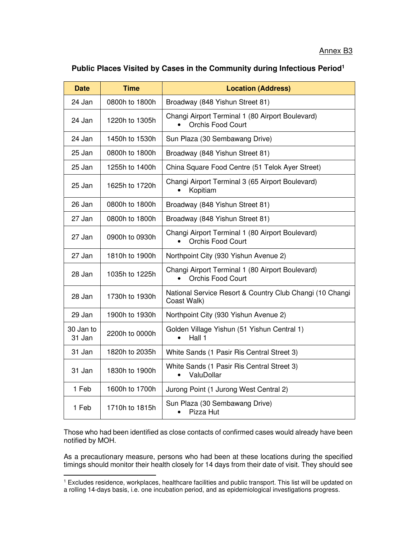# **Public Places Visited by Cases in the Community during Infectious Period<sup>1</sup>**

| <b>Time</b><br><b>Date</b> |                | <b>Location (Address)</b>                                                    |  |  |  |  |
|----------------------------|----------------|------------------------------------------------------------------------------|--|--|--|--|
| 24 Jan<br>0800h to 1800h   |                | Broadway (848 Yishun Street 81)                                              |  |  |  |  |
| 24 Jan                     | 1220h to 1305h | Changi Airport Terminal 1 (80 Airport Boulevard)<br><b>Orchis Food Court</b> |  |  |  |  |
| 24 Jan                     | 1450h to 1530h | Sun Plaza (30 Sembawang Drive)                                               |  |  |  |  |
| 25 Jan                     | 0800h to 1800h | Broadway (848 Yishun Street 81)                                              |  |  |  |  |
| 25 Jan                     | 1255h to 1400h | China Square Food Centre (51 Telok Ayer Street)                              |  |  |  |  |
| 25 Jan                     | 1625h to 1720h | Changi Airport Terminal 3 (65 Airport Boulevard)<br>Kopitiam                 |  |  |  |  |
| 26 Jan                     | 0800h to 1800h | Broadway (848 Yishun Street 81)                                              |  |  |  |  |
| 27 Jan                     | 0800h to 1800h | Broadway (848 Yishun Street 81)                                              |  |  |  |  |
| 27 Jan                     | 0900h to 0930h | Changi Airport Terminal 1 (80 Airport Boulevard)<br><b>Orchis Food Court</b> |  |  |  |  |
| 27 Jan                     | 1810h to 1900h | Northpoint City (930 Yishun Avenue 2)                                        |  |  |  |  |
| 28 Jan                     | 1035h to 1225h | Changi Airport Terminal 1 (80 Airport Boulevard)<br>Orchis Food Court        |  |  |  |  |
| 28 Jan                     | 1730h to 1930h | National Service Resort & Country Club Changi (10 Changi<br>Coast Walk)      |  |  |  |  |
| 29 Jan                     | 1900h to 1930h | Northpoint City (930 Yishun Avenue 2)                                        |  |  |  |  |
| 30 Jan to<br>31 Jan        | 2200h to 0000h | Golden Village Yishun (51 Yishun Central 1)<br>Hall 1                        |  |  |  |  |
| 31 Jan                     | 1820h to 2035h | White Sands (1 Pasir Ris Central Street 3)                                   |  |  |  |  |
| 31 Jan                     | 1830h to 1900h | White Sands (1 Pasir Ris Central Street 3)<br>ValuDollar                     |  |  |  |  |
| 1 Feb                      | 1600h to 1700h | Jurong Point (1 Jurong West Central 2)                                       |  |  |  |  |
| 1 Feb                      | 1710h to 1815h | Sun Plaza (30 Sembawang Drive)<br>Pizza Hut                                  |  |  |  |  |

Those who had been identified as close contacts of confirmed cases would already have been notified by MOH.

As a precautionary measure, persons who had been at these locations during the specified timings should monitor their health closely for 14 days from their date of visit. They should see

<sup>1</sup> Excludes residence, workplaces, healthcare facilities and public transport. This list will be updated on a rolling 14-days basis, i.e. one incubation period, and as epidemiological investigations progress.